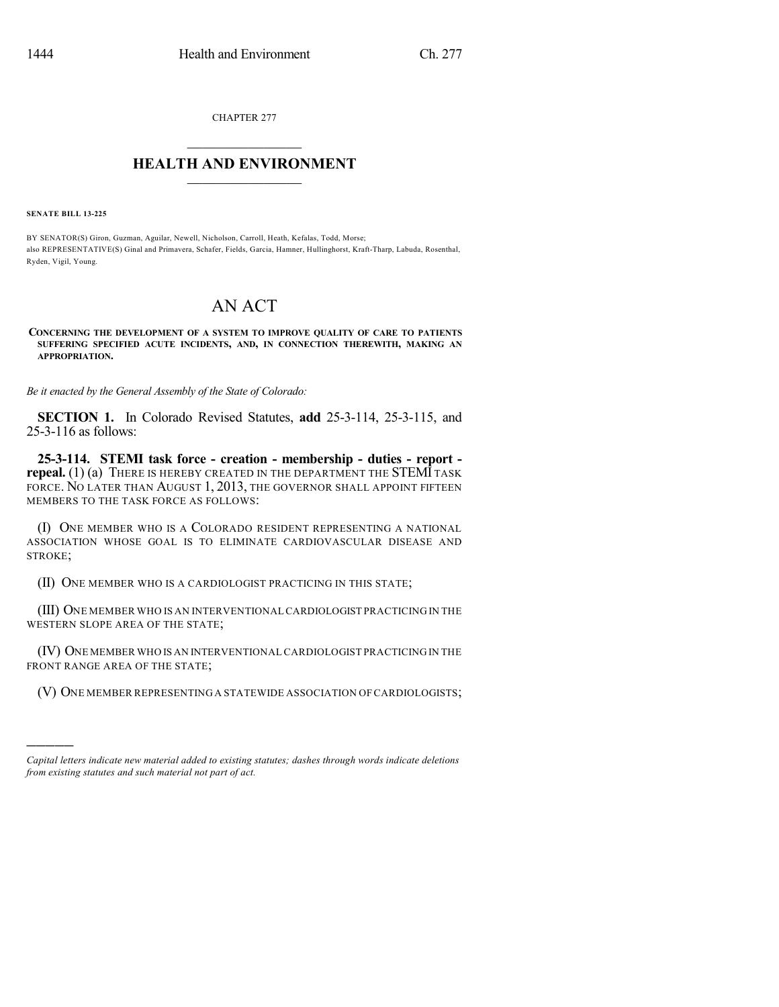CHAPTER 277

## $\mathcal{L}_\text{max}$  . The set of the set of the set of the set of the set of the set of the set of the set of the set of the set of the set of the set of the set of the set of the set of the set of the set of the set of the set **HEALTH AND ENVIRONMENT**  $\_$

**SENATE BILL 13-225**

)))))

BY SENATOR(S) Giron, Guzman, Aguilar, Newell, Nicholson, Carroll, Heath, Kefalas, Todd, Morse; also REPRESENTATIVE(S) Ginal and Primavera, Schafer, Fields, Garcia, Hamner, Hullinghorst, Kraft-Tharp, Labuda, Rosenthal, Ryden, Vigil, Young.

## AN ACT

**CONCERNING THE DEVELOPMENT OF A SYSTEM TO IMPROVE QUALITY OF CARE TO PATIENTS SUFFERING SPECIFIED ACUTE INCIDENTS, AND, IN CONNECTION THEREWITH, MAKING AN APPROPRIATION.**

*Be it enacted by the General Assembly of the State of Colorado:*

**SECTION 1.** In Colorado Revised Statutes, **add** 25-3-114, 25-3-115, and 25-3-116 as follows:

**25-3-114. STEMI task force - creation - membership - duties - report repeal.** (1) (a) THERE IS HEREBY CREATED IN THE DEPARTMENT THE STEMI TASK FORCE. NO LATER THAN AUGUST 1, 2013, THE GOVERNOR SHALL APPOINT FIFTEEN MEMBERS TO THE TASK FORCE AS FOLLOWS:

(I) ONE MEMBER WHO IS A COLORADO RESIDENT REPRESENTING A NATIONAL ASSOCIATION WHOSE GOAL IS TO ELIMINATE CARDIOVASCULAR DISEASE AND STROKE;

(II) ONE MEMBER WHO IS A CARDIOLOGIST PRACTICING IN THIS STATE;

(III) ONE MEMBER WHO IS AN INTERVENTIONAL CARDIOLOGIST PRACTICING IN THE WESTERN SLOPE AREA OF THE STATE;

(IV) ONE MEMBER WHO IS AN INTERVENTIONALCARDIOLOGIST PRACTICING IN THE FRONT RANGE AREA OF THE STATE;

(V) ONE MEMBER REPRESENTING A STATEWIDE ASSOCIATION OF CARDIOLOGISTS;

*Capital letters indicate new material added to existing statutes; dashes through words indicate deletions from existing statutes and such material not part of act.*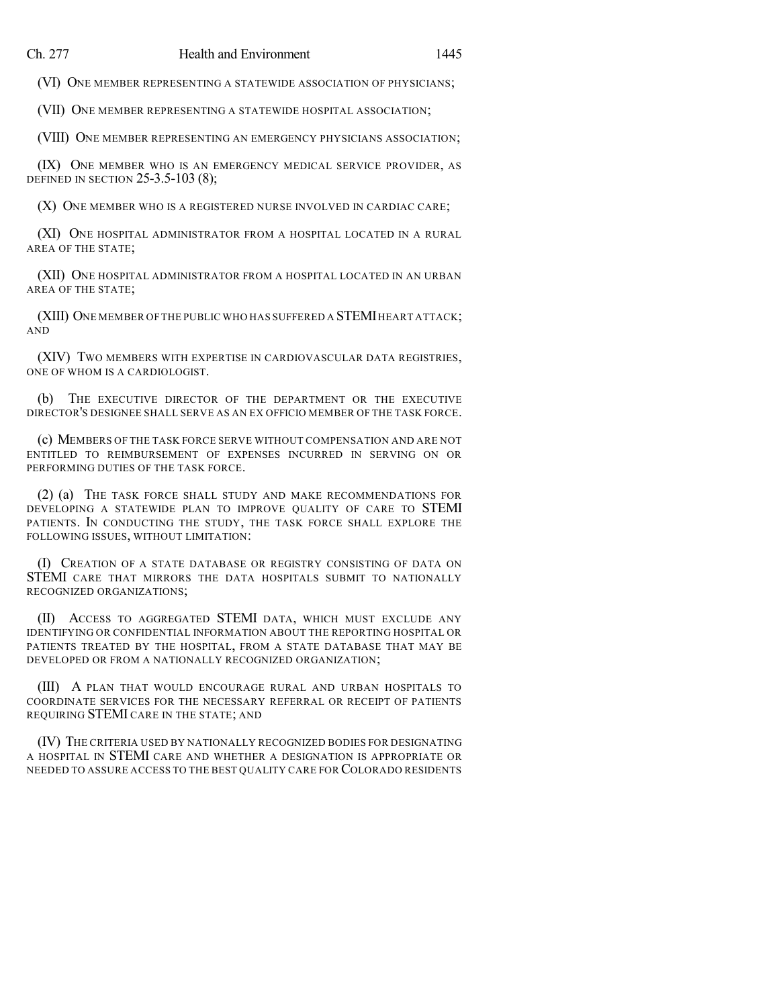(VI) ONE MEMBER REPRESENTING A STATEWIDE ASSOCIATION OF PHYSICIANS;

(VII) ONE MEMBER REPRESENTING A STATEWIDE HOSPITAL ASSOCIATION;

(VIII) ONE MEMBER REPRESENTING AN EMERGENCY PHYSICIANS ASSOCIATION;

(IX) ONE MEMBER WHO IS AN EMERGENCY MEDICAL SERVICE PROVIDER, AS DEFINED IN SECTION 25-3.5-103 (8);

(X) ONE MEMBER WHO IS A REGISTERED NURSE INVOLVED IN CARDIAC CARE;

(XI) ONE HOSPITAL ADMINISTRATOR FROM A HOSPITAL LOCATED IN A RURAL AREA OF THE STATE;

(XII) ONE HOSPITAL ADMINISTRATOR FROM A HOSPITAL LOCATED IN AN URBAN AREA OF THE STATE;

(XIII) ONE MEMBER OF THE PUBLIC WHO HAS SUFFERED A STEMI HEART ATTACK; AND

(XIV) TWO MEMBERS WITH EXPERTISE IN CARDIOVASCULAR DATA REGISTRIES, ONE OF WHOM IS A CARDIOLOGIST.

(b) THE EXECUTIVE DIRECTOR OF THE DEPARTMENT OR THE EXECUTIVE DIRECTOR'S DESIGNEE SHALL SERVE AS AN EX OFFICIO MEMBER OF THE TASK FORCE.

(c) MEMBERS OF THE TASK FORCE SERVE WITHOUT COMPENSATION AND ARE NOT ENTITLED TO REIMBURSEMENT OF EXPENSES INCURRED IN SERVING ON OR PERFORMING DUTIES OF THE TASK FORCE.

(2) (a) THE TASK FORCE SHALL STUDY AND MAKE RECOMMENDATIONS FOR DEVELOPING A STATEWIDE PLAN TO IMPROVE QUALITY OF CARE TO STEMI PATIENTS. IN CONDUCTING THE STUDY, THE TASK FORCE SHALL EXPLORE THE FOLLOWING ISSUES, WITHOUT LIMITATION:

(I) CREATION OF A STATE DATABASE OR REGISTRY CONSISTING OF DATA ON STEMI CARE THAT MIRRORS THE DATA HOSPITALS SUBMIT TO NATIONALLY RECOGNIZED ORGANIZATIONS;

(II) ACCESS TO AGGREGATED STEMI DATA, WHICH MUST EXCLUDE ANY IDENTIFYING OR CONFIDENTIAL INFORMATION ABOUT THE REPORTING HOSPITAL OR PATIENTS TREATED BY THE HOSPITAL, FROM A STATE DATABASE THAT MAY BE DEVELOPED OR FROM A NATIONALLY RECOGNIZED ORGANIZATION;

(III) A PLAN THAT WOULD ENCOURAGE RURAL AND URBAN HOSPITALS TO COORDINATE SERVICES FOR THE NECESSARY REFERRAL OR RECEIPT OF PATIENTS REQUIRING STEMI CARE IN THE STATE; AND

(IV) THE CRITERIA USED BY NATIONALLY RECOGNIZED BODIES FOR DESIGNATING A HOSPITAL IN STEMI CARE AND WHETHER A DESIGNATION IS APPROPRIATE OR NEEDED TO ASSURE ACCESS TO THE BEST QUALITY CARE FOR COLORADO RESIDENTS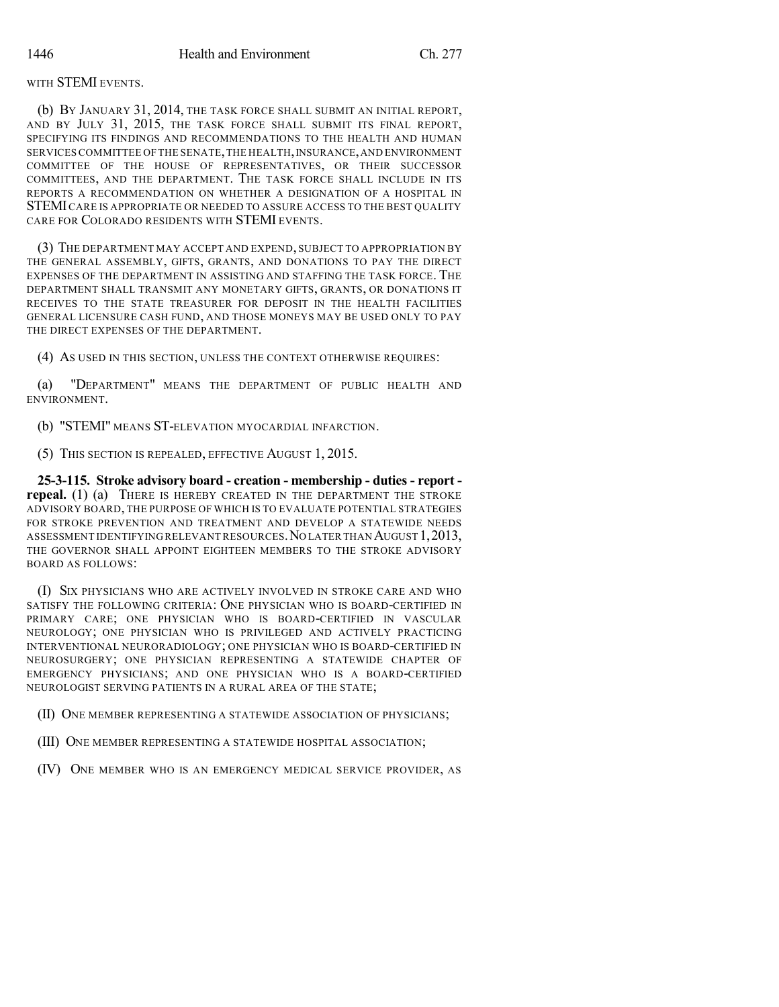## WITH STEMI EVENTS.

(b) BY JANUARY 31, 2014, THE TASK FORCE SHALL SUBMIT AN INITIAL REPORT, AND BY JULY 31, 2015, THE TASK FORCE SHALL SUBMIT ITS FINAL REPORT, SPECIFYING ITS FINDINGS AND RECOMMENDATIONS TO THE HEALTH AND HUMAN SERVICES COMMITTEE OF THE SENATE,THE HEALTH,INSURANCE,AND ENVIRONMENT COMMITTEE OF THE HOUSE OF REPRESENTATIVES, OR THEIR SUCCESSOR COMMITTEES, AND THE DEPARTMENT. THE TASK FORCE SHALL INCLUDE IN ITS REPORTS A RECOMMENDATION ON WHETHER A DESIGNATION OF A HOSPITAL IN STEMICARE IS APPROPRIATE OR NEEDED TO ASSURE ACCESS TO THE BEST QUALITY CARE FOR COLORADO RESIDENTS WITH STEMI EVENTS.

(3) THE DEPARTMENT MAY ACCEPT AND EXPEND, SUBJECT TO APPROPRIATION BY THE GENERAL ASSEMBLY, GIFTS, GRANTS, AND DONATIONS TO PAY THE DIRECT EXPENSES OF THE DEPARTMENT IN ASSISTING AND STAFFING THE TASK FORCE. THE DEPARTMENT SHALL TRANSMIT ANY MONETARY GIFTS, GRANTS, OR DONATIONS IT RECEIVES TO THE STATE TREASURER FOR DEPOSIT IN THE HEALTH FACILITIES GENERAL LICENSURE CASH FUND, AND THOSE MONEYS MAY BE USED ONLY TO PAY THE DIRECT EXPENSES OF THE DEPARTMENT.

(4) AS USED IN THIS SECTION, UNLESS THE CONTEXT OTHERWISE REQUIRES:

(a) "DEPARTMENT" MEANS THE DEPARTMENT OF PUBLIC HEALTH AND ENVIRONMENT.

(b) "STEMI" MEANS ST-ELEVATION MYOCARDIAL INFARCTION.

(5) THIS SECTION IS REPEALED, EFFECTIVE AUGUST 1, 2015.

**25-3-115. Stroke advisory board - creation - membership - duties - report repeal.** (1) (a) THERE IS HEREBY CREATED IN THE DEPARTMENT THE STROKE ADVISORY BOARD, THE PURPOSE OF WHICH IS TO EVALUATE POTENTIAL STRATEGIES FOR STROKE PREVENTION AND TREATMENT AND DEVELOP A STATEWIDE NEEDS ASSESSMENT IDENTIFYING RELEVANT RESOURCES.NO LATER THAN AUGUST 1,2013, THE GOVERNOR SHALL APPOINT EIGHTEEN MEMBERS TO THE STROKE ADVISORY BOARD AS FOLLOWS:

(I) SIX PHYSICIANS WHO ARE ACTIVELY INVOLVED IN STROKE CARE AND WHO SATISFY THE FOLLOWING CRITERIA: ONE PHYSICIAN WHO IS BOARD-CERTIFIED IN PRIMARY CARE; ONE PHYSICIAN WHO IS BOARD-CERTIFIED IN VASCULAR NEUROLOGY; ONE PHYSICIAN WHO IS PRIVILEGED AND ACTIVELY PRACTICING INTERVENTIONAL NEURORADIOLOGY; ONE PHYSICIAN WHO IS BOARD-CERTIFIED IN NEUROSURGERY; ONE PHYSICIAN REPRESENTING A STATEWIDE CHAPTER OF EMERGENCY PHYSICIANS; AND ONE PHYSICIAN WHO IS A BOARD-CERTIFIED NEUROLOGIST SERVING PATIENTS IN A RURAL AREA OF THE STATE;

(II) ONE MEMBER REPRESENTING A STATEWIDE ASSOCIATION OF PHYSICIANS;

(III) ONE MEMBER REPRESENTING A STATEWIDE HOSPITAL ASSOCIATION;

(IV) ONE MEMBER WHO IS AN EMERGENCY MEDICAL SERVICE PROVIDER, AS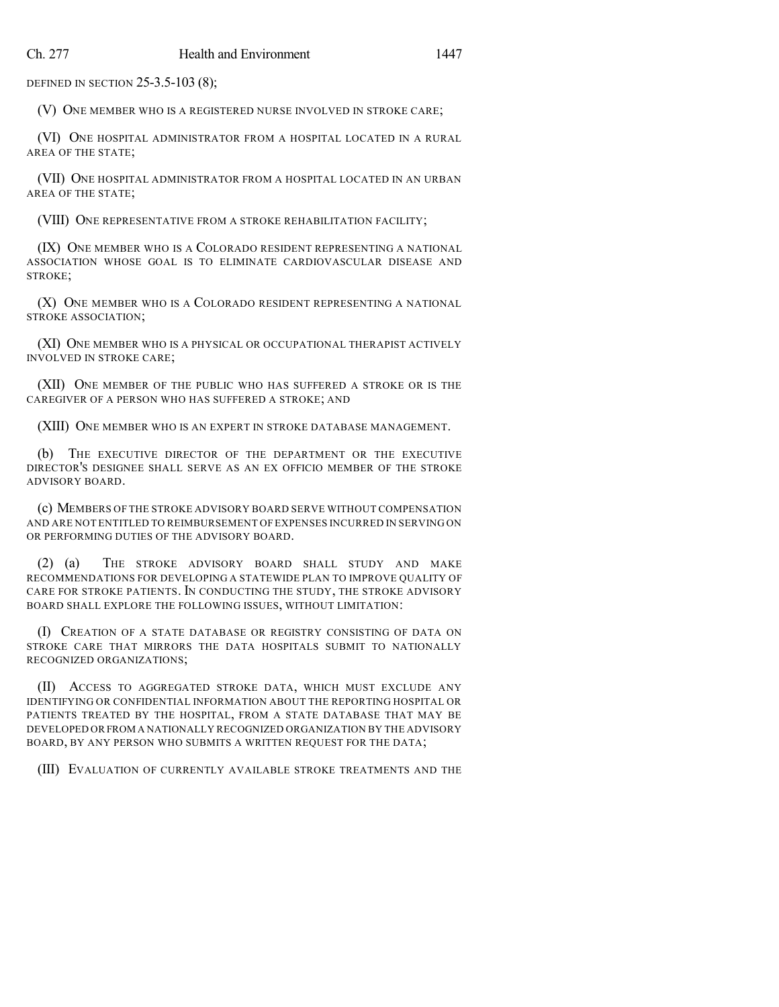DEFINED IN SECTION 25-3.5-103 (8);

(V) ONE MEMBER WHO IS A REGISTERED NURSE INVOLVED IN STROKE CARE;

(VI) ONE HOSPITAL ADMINISTRATOR FROM A HOSPITAL LOCATED IN A RURAL AREA OF THE STATE;

(VII) ONE HOSPITAL ADMINISTRATOR FROM A HOSPITAL LOCATED IN AN URBAN AREA OF THE STATE;

(VIII) ONE REPRESENTATIVE FROM A STROKE REHABILITATION FACILITY;

(IX) ONE MEMBER WHO IS A COLORADO RESIDENT REPRESENTING A NATIONAL ASSOCIATION WHOSE GOAL IS TO ELIMINATE CARDIOVASCULAR DISEASE AND STROKE;

(X) ONE MEMBER WHO IS A COLORADO RESIDENT REPRESENTING A NATIONAL STROKE ASSOCIATION;

(XI) ONE MEMBER WHO IS A PHYSICAL OR OCCUPATIONAL THERAPIST ACTIVELY INVOLVED IN STROKE CARE;

(XII) ONE MEMBER OF THE PUBLIC WHO HAS SUFFERED A STROKE OR IS THE CAREGIVER OF A PERSON WHO HAS SUFFERED A STROKE; AND

(XIII) ONE MEMBER WHO IS AN EXPERT IN STROKE DATABASE MANAGEMENT.

(b) THE EXECUTIVE DIRECTOR OF THE DEPARTMENT OR THE EXECUTIVE DIRECTOR'S DESIGNEE SHALL SERVE AS AN EX OFFICIO MEMBER OF THE STROKE ADVISORY BOARD.

(c) MEMBERS OF THE STROKE ADVISORY BOARD SERVE WITHOUT COMPENSATION AND ARE NOT ENTITLED TO REIMBURSEMENT OF EXPENSES INCURRED IN SERVING ON OR PERFORMING DUTIES OF THE ADVISORY BOARD.

(2) (a) THE STROKE ADVISORY BOARD SHALL STUDY AND MAKE RECOMMENDATIONS FOR DEVELOPING A STATEWIDE PLAN TO IMPROVE QUALITY OF CARE FOR STROKE PATIENTS. IN CONDUCTING THE STUDY, THE STROKE ADVISORY BOARD SHALL EXPLORE THE FOLLOWING ISSUES, WITHOUT LIMITATION:

(I) CREATION OF A STATE DATABASE OR REGISTRY CONSISTING OF DATA ON STROKE CARE THAT MIRRORS THE DATA HOSPITALS SUBMIT TO NATIONALLY RECOGNIZED ORGANIZATIONS;

(II) ACCESS TO AGGREGATED STROKE DATA, WHICH MUST EXCLUDE ANY IDENTIFYING OR CONFIDENTIAL INFORMATION ABOUT THE REPORTING HOSPITAL OR PATIENTS TREATED BY THE HOSPITAL, FROM A STATE DATABASE THAT MAY BE DEVELOPED OR FROM A NATIONALLY RECOGNIZED ORGANIZATION BY THE ADVISORY BOARD, BY ANY PERSON WHO SUBMITS A WRITTEN REQUEST FOR THE DATA;

(III) EVALUATION OF CURRENTLY AVAILABLE STROKE TREATMENTS AND THE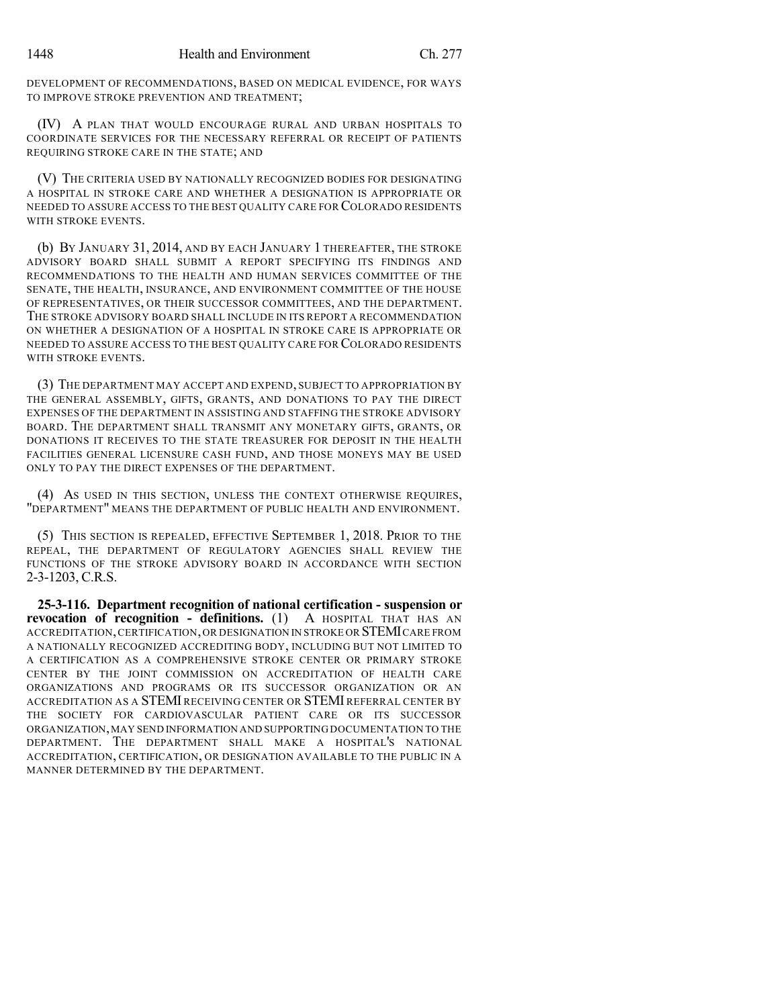DEVELOPMENT OF RECOMMENDATIONS, BASED ON MEDICAL EVIDENCE, FOR WAYS TO IMPROVE STROKE PREVENTION AND TREATMENT;

(IV) A PLAN THAT WOULD ENCOURAGE RURAL AND URBAN HOSPITALS TO COORDINATE SERVICES FOR THE NECESSARY REFERRAL OR RECEIPT OF PATIENTS REQUIRING STROKE CARE IN THE STATE; AND

(V) THE CRITERIA USED BY NATIONALLY RECOGNIZED BODIES FOR DESIGNATING A HOSPITAL IN STROKE CARE AND WHETHER A DESIGNATION IS APPROPRIATE OR NEEDED TO ASSURE ACCESS TO THE BEST QUALITY CARE FOR COLORADO RESIDENTS WITH STROKE EVENTS.

(b) BY JANUARY 31, 2014, AND BY EACH JANUARY 1 THEREAFTER, THE STROKE ADVISORY BOARD SHALL SUBMIT A REPORT SPECIFYING ITS FINDINGS AND RECOMMENDATIONS TO THE HEALTH AND HUMAN SERVICES COMMITTEE OF THE SENATE, THE HEALTH, INSURANCE, AND ENVIRONMENT COMMITTEE OF THE HOUSE OF REPRESENTATIVES, OR THEIR SUCCESSOR COMMITTEES, AND THE DEPARTMENT. THE STROKE ADVISORY BOARD SHALL INCLUDE IN ITS REPORT A RECOMMENDATION ON WHETHER A DESIGNATION OF A HOSPITAL IN STROKE CARE IS APPROPRIATE OR NEEDED TO ASSURE ACCESS TO THE BEST QUALITY CARE FOR COLORADO RESIDENTS WITH STROKE EVENTS.

(3) THE DEPARTMENT MAY ACCEPT AND EXPEND, SUBJECT TO APPROPRIATION BY THE GENERAL ASSEMBLY, GIFTS, GRANTS, AND DONATIONS TO PAY THE DIRECT EXPENSES OF THE DEPARTMENT IN ASSISTING AND STAFFING THE STROKE ADVISORY BOARD. THE DEPARTMENT SHALL TRANSMIT ANY MONETARY GIFTS, GRANTS, OR DONATIONS IT RECEIVES TO THE STATE TREASURER FOR DEPOSIT IN THE HEALTH FACILITIES GENERAL LICENSURE CASH FUND, AND THOSE MONEYS MAY BE USED ONLY TO PAY THE DIRECT EXPENSES OF THE DEPARTMENT.

(4) AS USED IN THIS SECTION, UNLESS THE CONTEXT OTHERWISE REQUIRES, "DEPARTMENT" MEANS THE DEPARTMENT OF PUBLIC HEALTH AND ENVIRONMENT.

(5) THIS SECTION IS REPEALED, EFFECTIVE SEPTEMBER 1, 2018. PRIOR TO THE REPEAL, THE DEPARTMENT OF REGULATORY AGENCIES SHALL REVIEW THE FUNCTIONS OF THE STROKE ADVISORY BOARD IN ACCORDANCE WITH SECTION 2-3-1203, C.R.S.

**25-3-116. Department recognition of national certification - suspension or revocation of recognition - definitions.** (1) A HOSPITAL THAT HAS AN ACCREDITATION,CERTIFICATION,OR DESIGNATION IN STROKE OR STEMICARE FROM A NATIONALLY RECOGNIZED ACCREDITING BODY, INCLUDING BUT NOT LIMITED TO A CERTIFICATION AS A COMPREHENSIVE STROKE CENTER OR PRIMARY STROKE CENTER BY THE JOINT COMMISSION ON ACCREDITATION OF HEALTH CARE ORGANIZATIONS AND PROGRAMS OR ITS SUCCESSOR ORGANIZATION OR AN ACCREDITATION AS A STEMI RECEIVING CENTER OR STEMI REFERRAL CENTER BY THE SOCIETY FOR CARDIOVASCULAR PATIENT CARE OR ITS SUCCESSOR ORGANIZATION,MAY SEND INFORMATION AND SUPPORTING DOCUMENTATION TO THE DEPARTMENT. THE DEPARTMENT SHALL MAKE A HOSPITAL'S NATIONAL ACCREDITATION, CERTIFICATION, OR DESIGNATION AVAILABLE TO THE PUBLIC IN A MANNER DETERMINED BY THE DEPARTMENT.